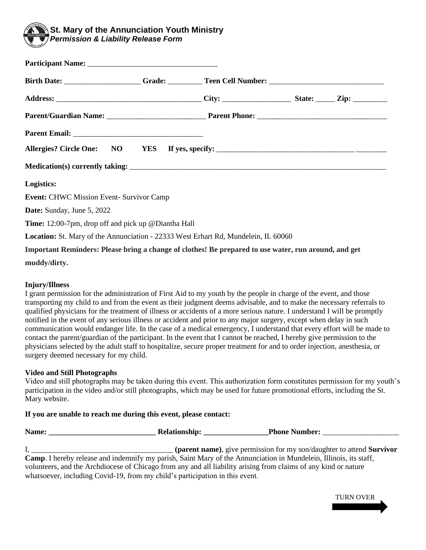

| Birth Date: _______________________Grade: ___________Teen Cell Number: _____________________________ |  |  |
|------------------------------------------------------------------------------------------------------|--|--|
|                                                                                                      |  |  |
|                                                                                                      |  |  |
|                                                                                                      |  |  |
| Allergies? Circle One: NO YES If yes, specify: __________________________________                    |  |  |
|                                                                                                      |  |  |
| Logistics:                                                                                           |  |  |
| <b>Event: CHWC Mission Event- Survivor Camp</b>                                                      |  |  |
| Date: Sunday, June 5, 2022                                                                           |  |  |
| <b>Time:</b> 12:00-7pm, drop off and pick up @Diantha Hall                                           |  |  |
| <b>Location:</b> St. Mary of the Annunciation - 22333 West Erhart Rd, Mundelein, IL 60060            |  |  |
| Important Reminders: Please bring a change of clothes! Be prepared to use water, run around, and get |  |  |

**muddy/dirty.**

## **Injury/Illness**

I grant permission for the administration of First Aid to my youth by the people in charge of the event, and those transporting my child to and from the event as their judgment deems advisable, and to make the necessary referrals to qualified physicians for the treatment of illness or accidents of a more serious nature. I understand I will be promptly notified in the event of any serious illness or accident and prior to any major surgery, except when delay in such communication would endanger life. In the case of a medical emergency, I understand that every effort will be made to contact the parent/guardian of the participant. In the event that I cannot be reached, I hereby give permission to the physicians selected by the adult staff to hospitalize, secure proper treatment for and to order injection, anesthesia, or surgery deemed necessary for my child.

## **Video and Still Photographs**

Video and still photographs may be taken during this event. This authorization form constitutes permission for my youth's participation in the video and/or still photographs, which may be used for future promotional efforts, including the St. Mary website.

## **If you are unable to reach me during this event, please contact:**

| Name:                                                                                                           | <b>Relationship:</b>                                                         | <b>Phone Number:</b>                                                                                                     |  |  |
|-----------------------------------------------------------------------------------------------------------------|------------------------------------------------------------------------------|--------------------------------------------------------------------------------------------------------------------------|--|--|
|                                                                                                                 |                                                                              |                                                                                                                          |  |  |
|                                                                                                                 |                                                                              | (parent name), give permission for my son/daughter to attend Survivor                                                    |  |  |
|                                                                                                                 |                                                                              | <b>Camp.</b> I hereby release and indemnify my parish, Saint Mary of the Annunciation in Mundelein, Illinois, its staff, |  |  |
| volunteers, and the Archdiocese of Chicago from any and all liability arising from claims of any kind or nature |                                                                              |                                                                                                                          |  |  |
|                                                                                                                 | whatsoever, including Covid-19, from my child's participation in this event. |                                                                                                                          |  |  |